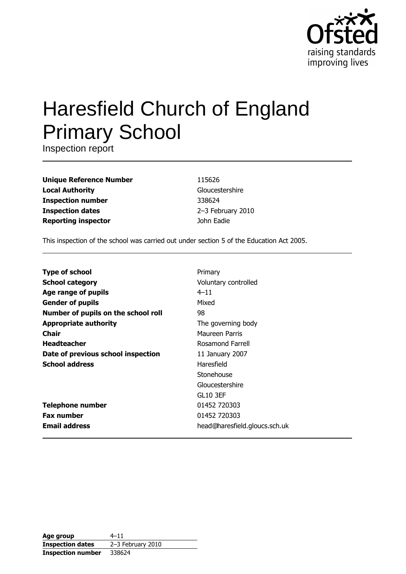

# **Haresfield Church of England Primary School**

Inspection report

| <b>Unique Reference Number</b> |
|--------------------------------|
| <b>Local Authority</b>         |
| <b>Inspection number</b>       |
| <b>Inspection dates</b>        |
| <b>Reporting inspector</b>     |

115626 Gloucestershire 338624 2-3 February 2010 John Eadie

This inspection of the school was carried out under section 5 of the Education Act 2005.

| <b>Type of school</b>               | Primary                       |
|-------------------------------------|-------------------------------|
| <b>School category</b>              | Voluntary controlled          |
| Age range of pupils                 | $4 - 11$                      |
| <b>Gender of pupils</b>             | Mixed                         |
| Number of pupils on the school roll | 98                            |
| <b>Appropriate authority</b>        | The governing body            |
| Chair                               | Maureen Parris                |
| <b>Headteacher</b>                  | Rosamond Farrell              |
| Date of previous school inspection  | 11 January 2007               |
| <b>School address</b>               | Haresfield                    |
|                                     | Stonehouse                    |
|                                     | Gloucestershire               |
|                                     | <b>GL10 3EF</b>               |
| <b>Telephone number</b>             | 01452 720303                  |
| <b>Fax number</b>                   | 01452 720303                  |
| <b>Email address</b>                | head@haresfield.gloucs.sch.uk |

| Age group                | $4 - 11$          |
|--------------------------|-------------------|
| <b>Inspection dates</b>  | 2-3 February 2010 |
| <b>Inspection number</b> | 338624            |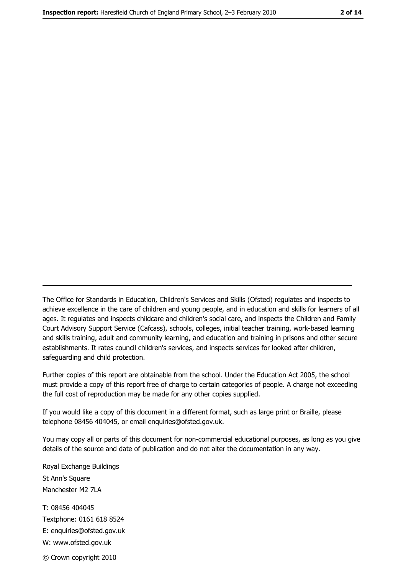The Office for Standards in Education, Children's Services and Skills (Ofsted) regulates and inspects to achieve excellence in the care of children and young people, and in education and skills for learners of all ages. It regulates and inspects childcare and children's social care, and inspects the Children and Family Court Advisory Support Service (Cafcass), schools, colleges, initial teacher training, work-based learning and skills training, adult and community learning, and education and training in prisons and other secure establishments. It rates council children's services, and inspects services for looked after children, safequarding and child protection.

Further copies of this report are obtainable from the school. Under the Education Act 2005, the school must provide a copy of this report free of charge to certain categories of people. A charge not exceeding the full cost of reproduction may be made for any other copies supplied.

If you would like a copy of this document in a different format, such as large print or Braille, please telephone 08456 404045, or email enquiries@ofsted.gov.uk.

You may copy all or parts of this document for non-commercial educational purposes, as long as you give details of the source and date of publication and do not alter the documentation in any way.

Royal Exchange Buildings St Ann's Square Manchester M2 7LA T: 08456 404045 Textphone: 0161 618 8524 E: enquiries@ofsted.gov.uk W: www.ofsted.gov.uk © Crown copyright 2010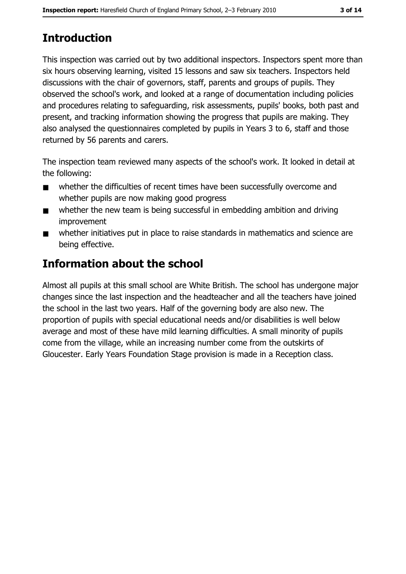# **Introduction**

This inspection was carried out by two additional inspectors. Inspectors spent more than six hours observing learning, visited 15 lessons and saw six teachers. Inspectors held discussions with the chair of governors, staff, parents and groups of pupils. They observed the school's work, and looked at a range of documentation including policies and procedures relating to safeguarding, risk assessments, pupils' books, both past and present, and tracking information showing the progress that pupils are making. They also analysed the questionnaires completed by pupils in Years 3 to 6, staff and those returned by 56 parents and carers.

The inspection team reviewed many aspects of the school's work. It looked in detail at the following:

- whether the difficulties of recent times have been successfully overcome and  $\blacksquare$ whether pupils are now making good progress
- whether the new team is being successful in embedding ambition and driving  $\blacksquare$ improvement
- whether initiatives put in place to raise standards in mathematics and science are  $\blacksquare$ being effective.

# **Information about the school**

Almost all pupils at this small school are White British. The school has undergone major changes since the last inspection and the headteacher and all the teachers have joined the school in the last two years. Half of the governing body are also new. The proportion of pupils with special educational needs and/or disabilities is well below average and most of these have mild learning difficulties. A small minority of pupils come from the village, while an increasing number come from the outskirts of Gloucester. Early Years Foundation Stage provision is made in a Reception class.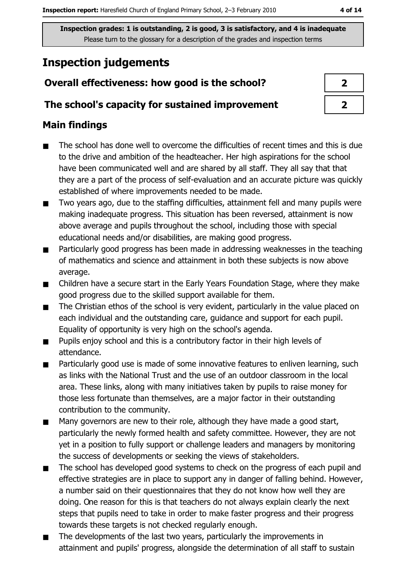# **Inspection judgements**

# Overall effectiveness: how good is the school?

# The school's capacity for sustained improvement

# **Main findings**

- The school has done well to overcome the difficulties of recent times and this is due  $\blacksquare$ to the drive and ambition of the headteacher. Her high aspirations for the school have been communicated well and are shared by all staff. They all say that that they are a part of the process of self-evaluation and an accurate picture was quickly established of where improvements needed to be made.
- Two years ago, due to the staffing difficulties, attainment fell and many pupils were  $\blacksquare$ making inadequate progress. This situation has been reversed, attainment is now above average and pupils throughout the school, including those with special educational needs and/or disabilities, are making good progress.
- Particularly good progress has been made in addressing weaknesses in the teaching  $\blacksquare$ of mathematics and science and attainment in both these subjects is now above average.
- Children have a secure start in the Early Years Foundation Stage, where they make  $\blacksquare$ good progress due to the skilled support available for them.
- The Christian ethos of the school is very evident, particularly in the value placed on  $\blacksquare$ each individual and the outstanding care, guidance and support for each pupil. Equality of opportunity is very high on the school's agenda.
- Pupils enjoy school and this is a contributory factor in their high levels of  $\blacksquare$ attendance.
- Particularly good use is made of some innovative features to enliven learning, such  $\blacksquare$ as links with the National Trust and the use of an outdoor classroom in the local area. These links, along with many initiatives taken by pupils to raise money for those less fortunate than themselves, are a major factor in their outstanding contribution to the community.
- Many governors are new to their role, although they have made a good start,  $\blacksquare$ particularly the newly formed health and safety committee. However, they are not yet in a position to fully support or challenge leaders and managers by monitoring the success of developments or seeking the views of stakeholders.
- The school has developed good systems to check on the progress of each pupil and  $\blacksquare$ effective strategies are in place to support any in danger of falling behind. However, a number said on their questionnaires that they do not know how well they are doing. One reason for this is that teachers do not always explain clearly the next steps that pupils need to take in order to make faster progress and their progress towards these targets is not checked regularly enough.
- The developments of the last two years, particularly the improvements in  $\blacksquare$ attainment and pupils' progress, alongside the determination of all staff to sustain

| I |
|---|
| フ |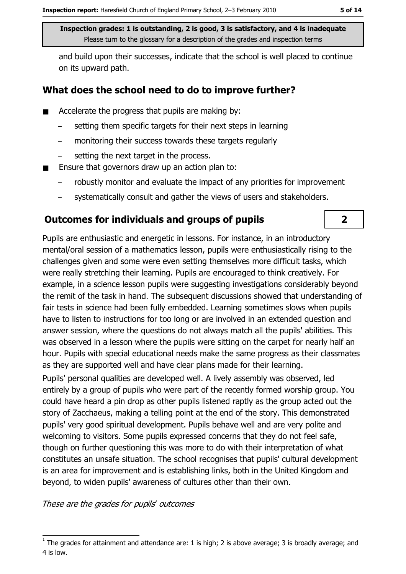and build upon their successes, indicate that the school is well placed to continue on its upward path.

## What does the school need to do to improve further?

- Accelerate the progress that pupils are making by:  $\blacksquare$ 
	- setting them specific targets for their next steps in learning
	- monitoring their success towards these targets regularly  $\equiv$
	- setting the next target in the process.
- Ensure that governors draw up an action plan to:  $\blacksquare$ 
	- robustly monitor and evaluate the impact of any priorities for improvement
	- systematically consult and gather the views of users and stakeholders.

### **Outcomes for individuals and groups of pupils**

Pupils are enthusiastic and energetic in lessons. For instance, in an introductory mental/oral session of a mathematics lesson, pupils were enthusiastically rising to the challenges given and some were even setting themselves more difficult tasks, which were really stretching their learning. Pupils are encouraged to think creatively. For example, in a science lesson pupils were suggesting investigations considerably beyond the remit of the task in hand. The subsequent discussions showed that understanding of fair tests in science had been fully embedded. Learning sometimes slows when pupils have to listen to instructions for too long or are involved in an extended question and answer session, where the questions do not always match all the pupils' abilities. This was observed in a lesson where the pupils were sitting on the carpet for nearly half an hour. Pupils with special educational needs make the same progress as their classmates as they are supported well and have clear plans made for their learning.

Pupils' personal qualities are developed well. A lively assembly was observed, led entirely by a group of pupils who were part of the recently formed worship group. You could have heard a pin drop as other pupils listened raptly as the group acted out the story of Zacchaeus, making a telling point at the end of the story. This demonstrated pupils' very good spiritual development. Pupils behave well and are very polite and welcoming to visitors. Some pupils expressed concerns that they do not feel safe, though on further questioning this was more to do with their interpretation of what constitutes an unsafe situation. The school recognises that pupils' cultural development is an area for improvement and is establishing links, both in the United Kingdom and beyond, to widen pupils' awareness of cultures other than their own.

These are the grades for pupils' outcomes

 $\overline{2}$ 

The grades for attainment and attendance are: 1 is high; 2 is above average; 3 is broadly average; and 4 is low.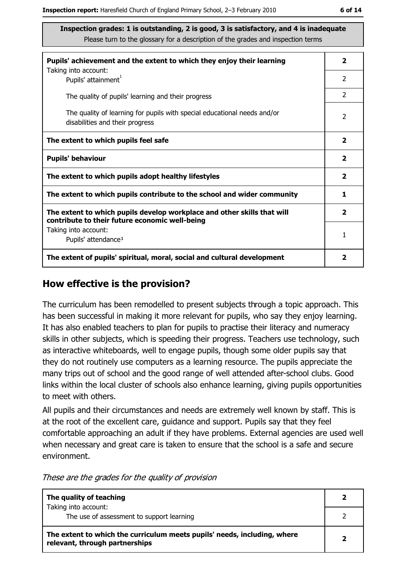| Pupils' achievement and the extent to which they enjoy their learning                                                     |                         |  |  |
|---------------------------------------------------------------------------------------------------------------------------|-------------------------|--|--|
| Taking into account:<br>Pupils' attainment <sup>1</sup>                                                                   | 2                       |  |  |
| The quality of pupils' learning and their progress                                                                        | $\overline{2}$          |  |  |
| The quality of learning for pupils with special educational needs and/or<br>disabilities and their progress               | 2                       |  |  |
| The extent to which pupils feel safe                                                                                      | $\overline{\mathbf{2}}$ |  |  |
| <b>Pupils' behaviour</b>                                                                                                  | $\overline{\mathbf{2}}$ |  |  |
| The extent to which pupils adopt healthy lifestyles                                                                       | $\mathbf{2}$            |  |  |
| The extent to which pupils contribute to the school and wider community                                                   |                         |  |  |
| The extent to which pupils develop workplace and other skills that will<br>contribute to their future economic well-being |                         |  |  |
| Taking into account:<br>Pupils' attendance <sup>1</sup>                                                                   | 1                       |  |  |
| The extent of pupils' spiritual, moral, social and cultural development                                                   | 2                       |  |  |

### How effective is the provision?

The curriculum has been remodelled to present subjects through a topic approach. This has been successful in making it more relevant for pupils, who say they enjoy learning. It has also enabled teachers to plan for pupils to practise their literacy and numeracy skills in other subjects, which is speeding their progress. Teachers use technology, such as interactive whiteboards, well to engage pupils, though some older pupils say that they do not routinely use computers as a learning resource. The pupils appreciate the many trips out of school and the good range of well attended after-school clubs. Good links within the local cluster of schools also enhance learning, giving pupils opportunities to meet with others.

All pupils and their circumstances and needs are extremely well known by staff. This is at the root of the excellent care, guidance and support. Pupils say that they feel comfortable approaching an adult if they have problems. External agencies are used well when necessary and great care is taken to ensure that the school is a safe and secure environment.

These are the grades for the quality of provision

| The quality of teaching                                                                                    |  |  |
|------------------------------------------------------------------------------------------------------------|--|--|
| Taking into account:<br>The use of assessment to support learning                                          |  |  |
| The extent to which the curriculum meets pupils' needs, including, where<br>relevant, through partnerships |  |  |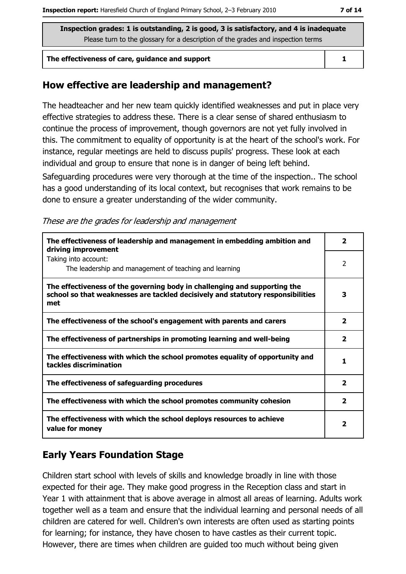#### The effectiveness of care, quidance and support

### How effective are leadership and management?

The headteacher and her new team quickly identified weaknesses and put in place very effective strategies to address these. There is a clear sense of shared enthusiasm to continue the process of improvement, though governors are not yet fully involved in this. The commitment to equality of opportunity is at the heart of the school's work. For instance, regular meetings are held to discuss pupils' progress. These look at each individual and group to ensure that none is in danger of being left behind.

Safeguarding procedures were very thorough at the time of the inspection.. The school has a good understanding of its local context, but recognises that work remains to be done to ensure a greater understanding of the wider community.

|  |  |  |  | These are the grades for leadership and management |
|--|--|--|--|----------------------------------------------------|
|--|--|--|--|----------------------------------------------------|

| The effectiveness of leadership and management in embedding ambition and<br>driving improvement                                                                     | 2            |
|---------------------------------------------------------------------------------------------------------------------------------------------------------------------|--------------|
| Taking into account:<br>The leadership and management of teaching and learning                                                                                      | 2            |
| The effectiveness of the governing body in challenging and supporting the<br>school so that weaknesses are tackled decisively and statutory responsibilities<br>met | 3            |
| The effectiveness of the school's engagement with parents and carers                                                                                                | $\mathbf{z}$ |
| The effectiveness of partnerships in promoting learning and well-being                                                                                              | 2            |
| The effectiveness with which the school promotes equality of opportunity and<br>tackles discrimination                                                              | 1            |
| The effectiveness of safeguarding procedures                                                                                                                        | 2            |
| The effectiveness with which the school promotes community cohesion                                                                                                 | $\mathbf{2}$ |
| The effectiveness with which the school deploys resources to achieve<br>value for money                                                                             | 2            |

# **Early Years Foundation Stage**

Children start school with levels of skills and knowledge broadly in line with those expected for their age. They make good progress in the Reception class and start in Year 1 with attainment that is above average in almost all areas of learning. Adults work together well as a team and ensure that the individual learning and personal needs of all children are catered for well. Children's own interests are often used as starting points for learning; for instance, they have chosen to have castles as their current topic. However, there are times when children are guided too much without being given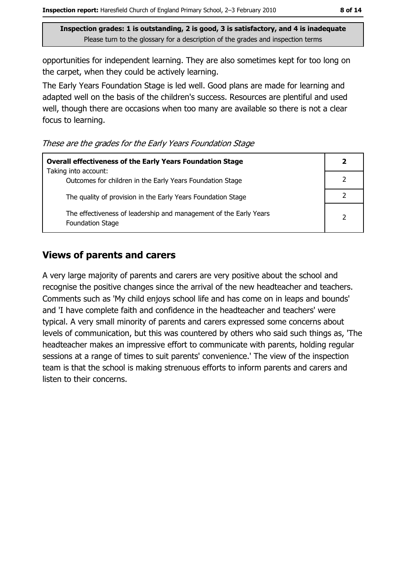opportunities for independent learning. They are also sometimes kept for too long on the carpet, when they could be actively learning.

The Early Years Foundation Stage is led well. Good plans are made for learning and adapted well on the basis of the children's success. Resources are plentiful and used well, though there are occasions when too many are available so there is not a clear focus to learning.

These are the grades for the Early Years Foundation Stage

| <b>Overall effectiveness of the Early Years Foundation Stage</b><br>Taking into account:     |                |
|----------------------------------------------------------------------------------------------|----------------|
| Outcomes for children in the Early Years Foundation Stage                                    |                |
| The quality of provision in the Early Years Foundation Stage                                 |                |
| The effectiveness of leadership and management of the Early Years<br><b>Foundation Stage</b> | $\overline{2}$ |

### **Views of parents and carers**

A very large majority of parents and carers are very positive about the school and recognise the positive changes since the arrival of the new headteacher and teachers. Comments such as 'My child enjoys school life and has come on in leaps and bounds' and 'I have complete faith and confidence in the headteacher and teachers' were typical. A very small minority of parents and carers expressed some concerns about levels of communication, but this was countered by others who said such things as, 'The headteacher makes an impressive effort to communicate with parents, holding regular sessions at a range of times to suit parents' convenience.' The view of the inspection team is that the school is making strenuous efforts to inform parents and carers and listen to their concerns.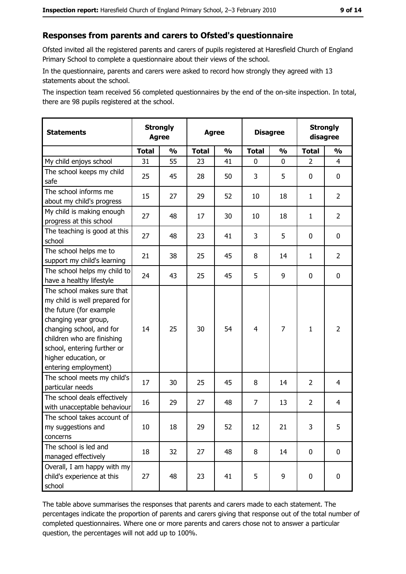### Responses from parents and carers to Ofsted's questionnaire

Ofsted invited all the registered parents and carers of pupils registered at Haresfield Church of England Primary School to complete a questionnaire about their views of the school.

In the questionnaire, parents and carers were asked to record how strongly they agreed with 13 statements about the school.

The inspection team received 56 completed questionnaires by the end of the on-site inspection. In total, there are 98 pupils registered at the school.

| <b>Statements</b>                                                                                                                                                                                                                                       |              | <b>Strongly</b><br><b>Strongly</b><br><b>Disagree</b><br><b>Agree</b><br>disagree<br><b>Agree</b> |              |               |                |                |                |                |
|---------------------------------------------------------------------------------------------------------------------------------------------------------------------------------------------------------------------------------------------------------|--------------|---------------------------------------------------------------------------------------------------|--------------|---------------|----------------|----------------|----------------|----------------|
|                                                                                                                                                                                                                                                         | <b>Total</b> | $\frac{1}{2}$                                                                                     | <b>Total</b> | $\frac{0}{0}$ | <b>Total</b>   | $\frac{1}{2}$  | <b>Total</b>   | $\frac{1}{2}$  |
| My child enjoys school                                                                                                                                                                                                                                  | 31           | 55                                                                                                | 23           | 41            | 0              | 0              | $\overline{2}$ | 4              |
| The school keeps my child<br>safe                                                                                                                                                                                                                       | 25           | 45                                                                                                | 28           | 50            | 3              | 5              | 0              | 0              |
| The school informs me<br>about my child's progress                                                                                                                                                                                                      | 15           | 27                                                                                                | 29           | 52            | 10             | 18             | 1              | $\overline{2}$ |
| My child is making enough<br>progress at this school                                                                                                                                                                                                    | 27           | 48                                                                                                | 17           | 30            | 10             | 18             | 1              | $\overline{2}$ |
| The teaching is good at this<br>school                                                                                                                                                                                                                  | 27           | 48                                                                                                | 23           | 41            | 3              | 5              | 0              | 0              |
| The school helps me to<br>support my child's learning                                                                                                                                                                                                   | 21           | 38                                                                                                | 25           | 45            | 8              | 14             | 1              | $\overline{2}$ |
| The school helps my child to<br>have a healthy lifestyle                                                                                                                                                                                                | 24           | 43                                                                                                | 25           | 45            | 5              | 9              | 0              | $\mathbf 0$    |
| The school makes sure that<br>my child is well prepared for<br>the future (for example<br>changing year group,<br>changing school, and for<br>children who are finishing<br>school, entering further or<br>higher education, or<br>entering employment) | 14           | 25                                                                                                | 30           | 54            | $\overline{4}$ | $\overline{7}$ | 1              | $\overline{2}$ |
| The school meets my child's<br>particular needs                                                                                                                                                                                                         | 17           | 30                                                                                                | 25           | 45            | 8              | 14             | $\overline{2}$ | 4              |
| The school deals effectively<br>with unacceptable behaviour                                                                                                                                                                                             | 16           | 29                                                                                                | 27           | 48            | $\overline{7}$ | 13             | $\overline{2}$ | 4              |
| The school takes account of<br>my suggestions and<br>concerns                                                                                                                                                                                           | 10           | 18                                                                                                | 29           | 52            | 12             | 21             | 3              | 5              |
| The school is led and<br>managed effectively                                                                                                                                                                                                            | 18           | 32                                                                                                | 27           | 48            | 8              | 14             | $\mathbf 0$    | 0              |
| Overall, I am happy with my<br>child's experience at this<br>school                                                                                                                                                                                     | 27           | 48                                                                                                | 23           | 41            | 5              | 9              | $\mathbf 0$    | 0              |

The table above summarises the responses that parents and carers made to each statement. The percentages indicate the proportion of parents and carers giving that response out of the total number of completed questionnaires. Where one or more parents and carers chose not to answer a particular question, the percentages will not add up to 100%.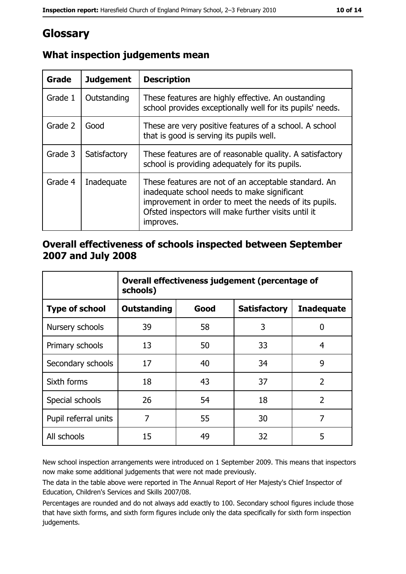# Glossary

| Grade   | <b>Judgement</b> | <b>Description</b>                                                                                                                                                                                                               |
|---------|------------------|----------------------------------------------------------------------------------------------------------------------------------------------------------------------------------------------------------------------------------|
| Grade 1 | Outstanding      | These features are highly effective. An oustanding<br>school provides exceptionally well for its pupils' needs.                                                                                                                  |
| Grade 2 | Good             | These are very positive features of a school. A school<br>that is good is serving its pupils well.                                                                                                                               |
| Grade 3 | Satisfactory     | These features are of reasonable quality. A satisfactory<br>school is providing adequately for its pupils.                                                                                                                       |
| Grade 4 | Inadequate       | These features are not of an acceptable standard. An<br>inadequate school needs to make significant<br>improvement in order to meet the needs of its pupils.<br>Ofsted inspectors will make further visits until it<br>improves. |

# What inspection judgements mean

# Overall effectiveness of schools inspected between September 2007 and July 2008

|                       | Overall effectiveness judgement (percentage of<br>schools) |      |                     |                   |  |
|-----------------------|------------------------------------------------------------|------|---------------------|-------------------|--|
| <b>Type of school</b> | Outstanding                                                | Good | <b>Satisfactory</b> | <b>Inadequate</b> |  |
| Nursery schools       | 39                                                         | 58   | 3                   | 0                 |  |
| Primary schools       | 13                                                         | 50   | 33                  | 4                 |  |
| Secondary schools     | 17                                                         | 40   | 34                  | 9                 |  |
| Sixth forms           | 18                                                         | 43   | 37                  | $\overline{2}$    |  |
| Special schools       | 26                                                         | 54   | 18                  | $\overline{2}$    |  |
| Pupil referral units  | 7                                                          | 55   | 30                  | 7                 |  |
| All schools           | 15                                                         | 49   | 32                  | 5                 |  |

New school inspection arrangements were introduced on 1 September 2009. This means that inspectors now make some additional judgements that were not made previously.

The data in the table above were reported in The Annual Report of Her Majesty's Chief Inspector of Education, Children's Services and Skills 2007/08.

Percentages are rounded and do not always add exactly to 100. Secondary school figures include those that have sixth forms, and sixth form figures include only the data specifically for sixth form inspection judgements.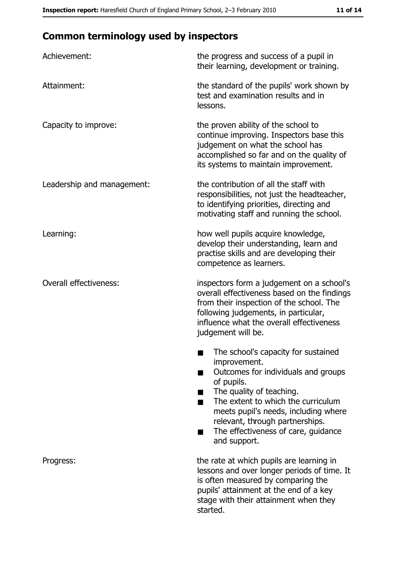# **Common terminology used by inspectors**

| Achievement:                  | the progress and success of a pupil in<br>their learning, development or training.                                                                                                                                                                                                                           |
|-------------------------------|--------------------------------------------------------------------------------------------------------------------------------------------------------------------------------------------------------------------------------------------------------------------------------------------------------------|
| Attainment:                   | the standard of the pupils' work shown by<br>test and examination results and in<br>lessons.                                                                                                                                                                                                                 |
| Capacity to improve:          | the proven ability of the school to<br>continue improving. Inspectors base this<br>judgement on what the school has<br>accomplished so far and on the quality of<br>its systems to maintain improvement.                                                                                                     |
| Leadership and management:    | the contribution of all the staff with<br>responsibilities, not just the headteacher,<br>to identifying priorities, directing and<br>motivating staff and running the school.                                                                                                                                |
| Learning:                     | how well pupils acquire knowledge,<br>develop their understanding, learn and<br>practise skills and are developing their<br>competence as learners.                                                                                                                                                          |
| <b>Overall effectiveness:</b> | inspectors form a judgement on a school's<br>overall effectiveness based on the findings<br>from their inspection of the school. The<br>following judgements, in particular,<br>influence what the overall effectiveness<br>judgement will be.                                                               |
|                               | The school's capacity for sustained<br>improvement.<br>Outcomes for individuals and groups<br>of pupils.<br>The quality of teaching.<br>The extent to which the curriculum<br>meets pupil's needs, including where<br>relevant, through partnerships.<br>The effectiveness of care, guidance<br>and support. |
| Progress:                     | the rate at which pupils are learning in<br>lessons and over longer periods of time. It<br>is often measured by comparing the<br>pupils' attainment at the end of a key<br>stage with their attainment when they<br>started.                                                                                 |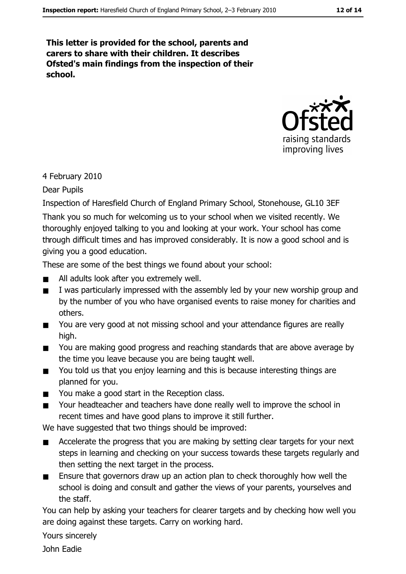This letter is provided for the school, parents and carers to share with their children. It describes Ofsted's main findings from the inspection of their school.



4 February 2010

Dear Pupils

Inspection of Haresfield Church of England Primary School, Stonehouse, GL10 3EF

Thank you so much for welcoming us to your school when we visited recently. We thoroughly enjoyed talking to you and looking at your work. Your school has come through difficult times and has improved considerably. It is now a good school and is giving you a good education.

These are some of the best things we found about your school:

- All adults look after you extremely well.  $\blacksquare$
- I was particularly impressed with the assembly led by your new worship group and  $\blacksquare$ by the number of you who have organised events to raise money for charities and others.
- You are very good at not missing school and your attendance figures are really  $\blacksquare$ high.
- You are making good progress and reaching standards that are above average by  $\blacksquare$ the time you leave because you are being taught well.
- You told us that you enjoy learning and this is because interesting things are  $\blacksquare$ planned for you.
- You make a good start in the Reception class.  $\blacksquare$
- Your headteacher and teachers have done really well to improve the school in  $\blacksquare$ recent times and have good plans to improve it still further.

We have suggested that two things should be improved:

- Accelerate the progress that you are making by setting clear targets for your next  $\blacksquare$ steps in learning and checking on your success towards these targets regularly and then setting the next target in the process.
- Ensure that governors draw up an action plan to check thoroughly how well the  $\blacksquare$ school is doing and consult and gather the views of your parents, yourselves and the staff.

You can help by asking your teachers for clearer targets and by checking how well you are doing against these targets. Carry on working hard.

Yours sincerely

John Fadie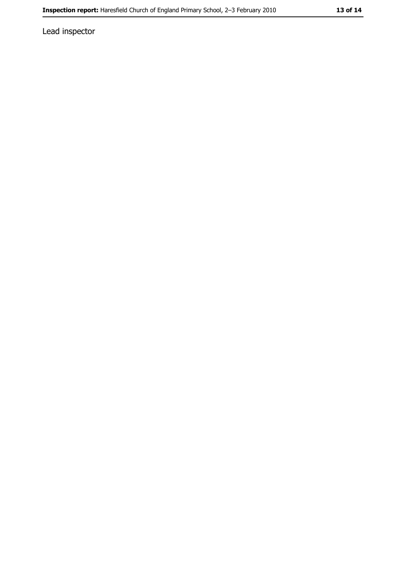Lead inspector